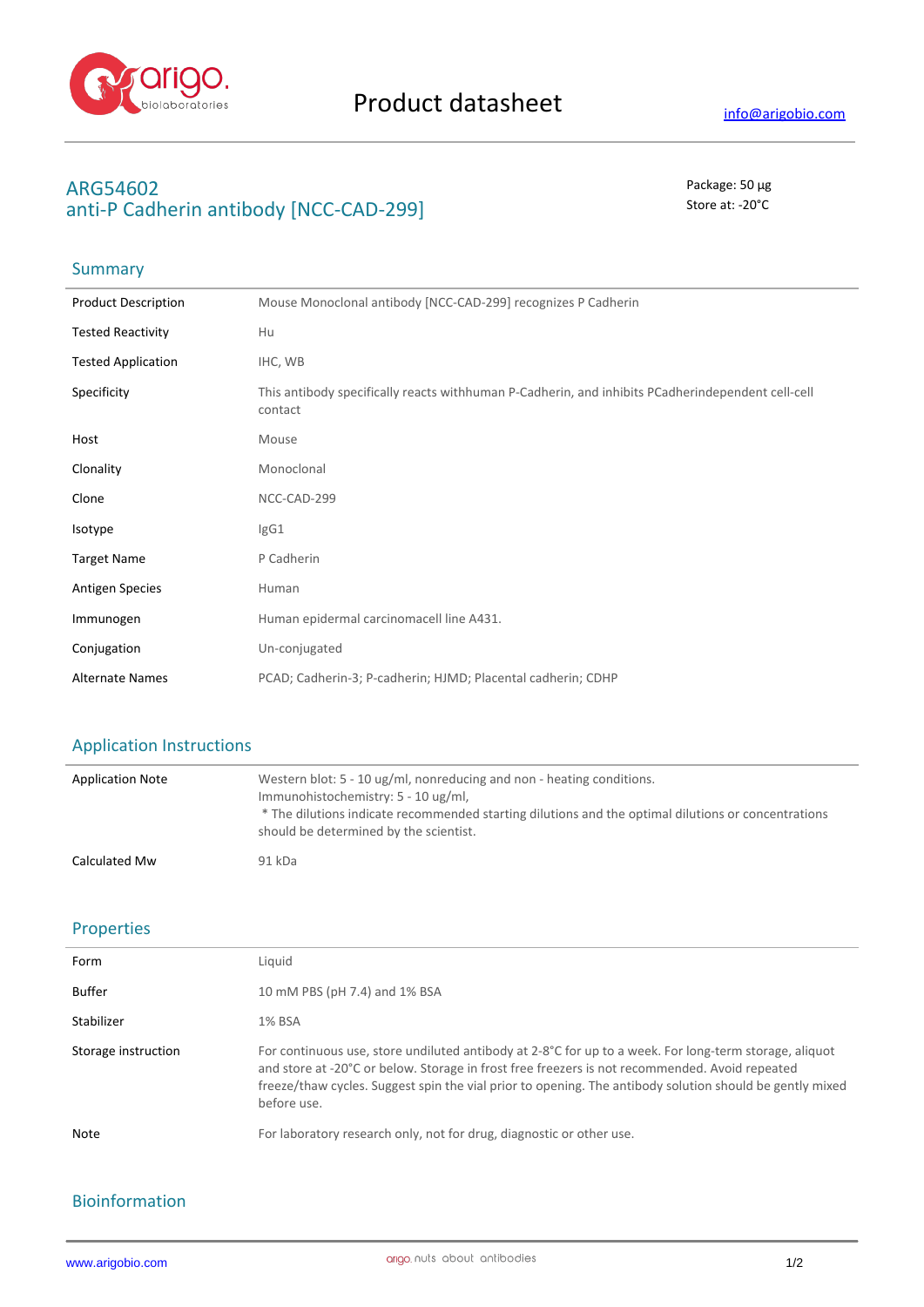

# **ARG54602** Package: 50 μg anti-P Cadherin antibody [NCC-CAD-299] Store at: -20<sup>°</sup>C

# Summary

| <b>Product Description</b> | Mouse Monoclonal antibody [NCC-CAD-299] recognizes P Cadherin                                                |
|----------------------------|--------------------------------------------------------------------------------------------------------------|
| <b>Tested Reactivity</b>   | Hu                                                                                                           |
| <b>Tested Application</b>  | IHC, WB                                                                                                      |
| Specificity                | This antibody specifically reacts withhuman P-Cadherin, and inhibits PCadherindependent cell-cell<br>contact |
| Host                       | Mouse                                                                                                        |
| Clonality                  | Monoclonal                                                                                                   |
| Clone                      | NCC-CAD-299                                                                                                  |
| Isotype                    | lgG1                                                                                                         |
| <b>Target Name</b>         | P Cadherin                                                                                                   |
| <b>Antigen Species</b>     | Human                                                                                                        |
| Immunogen                  | Human epidermal carcinomacell line A431.                                                                     |
| Conjugation                | Un-conjugated                                                                                                |
| <b>Alternate Names</b>     | PCAD; Cadherin-3; P-cadherin; HJMD; Placental cadherin; CDHP                                                 |

## Application Instructions

| <b>Application Note</b> | Western blot: 5 - 10 ug/ml, nonreducing and non - heating conditions.<br>Immunohistochemistry: 5 - 10 ug/ml,<br>* The dilutions indicate recommended starting dilutions and the optimal dilutions or concentrations<br>should be determined by the scientist. |
|-------------------------|---------------------------------------------------------------------------------------------------------------------------------------------------------------------------------------------------------------------------------------------------------------|
| Calculated Mw           | 91 kDa                                                                                                                                                                                                                                                        |

#### Properties

| Form                | Liauid                                                                                                                                                                                                                                                                                                                              |
|---------------------|-------------------------------------------------------------------------------------------------------------------------------------------------------------------------------------------------------------------------------------------------------------------------------------------------------------------------------------|
| Buffer              | 10 mM PBS (pH 7.4) and 1% BSA                                                                                                                                                                                                                                                                                                       |
| Stabilizer          | 1% BSA                                                                                                                                                                                                                                                                                                                              |
| Storage instruction | For continuous use, store undiluted antibody at 2-8°C for up to a week. For long-term storage, aliquot<br>and store at -20°C or below. Storage in frost free freezers is not recommended. Avoid repeated<br>freeze/thaw cycles. Suggest spin the vial prior to opening. The antibody solution should be gently mixed<br>before use. |
| <b>Note</b>         | For laboratory research only, not for drug, diagnostic or other use.                                                                                                                                                                                                                                                                |

### Bioinformation